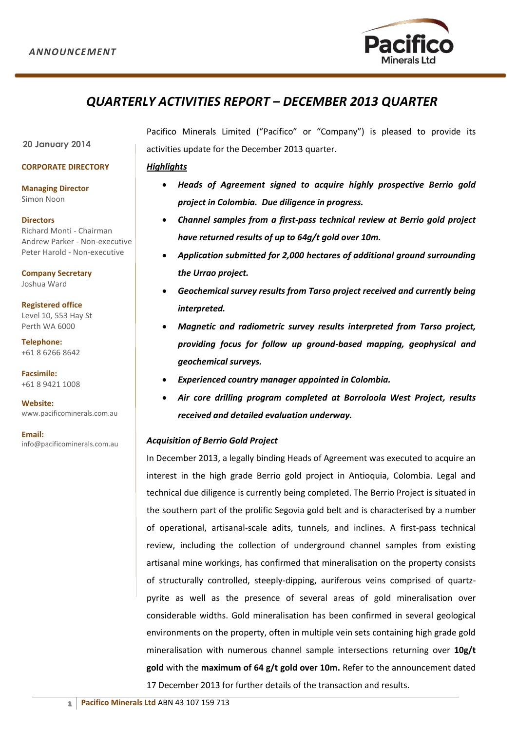

# *QUARTERLY ACTIVITIES REPORT – DECEMBER 2013 QUARTER*

**20 January 2014**

#### **CORPORATE DIRECTORY**

**Managing Director** Simon Noon

**Directors** Richard Monti - Chairman Andrew Parker - Non-executive

Peter Harold - Non-executive **Company Secretary**

Joshua Ward

**Registered office**  Level 10, 553 Hay St Perth WA 6000

**Telephone:** +61 8 6266 8642

**Facsimile:**  +61 8 9421 1008

**Website:**  www.pacificominerals.com.au

**Email:** info@pacificominerals.com.au Pacifico Minerals Limited ("Pacifico" or "Company") is pleased to provide its activities update for the December 2013 quarter.

# *Highlights*

- *Heads of Agreement signed to acquire highly prospective Berrio gold project in Colombia. Due diligence in progress.*
- *Channel samples from a first-pass technical review at Berrio gold project have returned results of up to 64g/t gold over 10m.*
- *Application submitted for 2,000 hectares of additional ground surrounding the Urrao project.*
- *Geochemical survey results from Tarso project received and currently being interpreted.*
- *Magnetic and radiometric survey results interpreted from Tarso project, providing focus for follow up ground-based mapping, geophysical and geochemical surveys.*
- *Experienced country manager appointed in Colombia.*
- *Air core drilling program completed at Borroloola West Project, results received and detailed evaluation underway.*

# *Acquisition of Berrio Gold Project*

In December 2013, a legally binding Heads of Agreement was executed to acquire an interest in the high grade Berrio gold project in Antioquia, Colombia. Legal and technical due diligence is currently being completed. The Berrio Project is situated in the southern part of the prolific Segovia gold belt and is characterised by a number of operational, artisanal-scale adits, tunnels, and inclines. A first-pass technical review, including the collection of underground channel samples from existing artisanal mine workings, has confirmed that mineralisation on the property consists of structurally controlled, steeply-dipping, auriferous veins comprised of quartzpyrite as well as the presence of several areas of gold mineralisation over considerable widths. Gold mineralisation has been confirmed in several geological environments on the property, often in multiple vein sets containing high grade gold mineralisation with numerous channel sample intersections returning over **10g/t gold** with the **maximum of 64 g/t gold over 10m.** Refer to the announcement dated 17 December 2013 for further details of the transaction and results.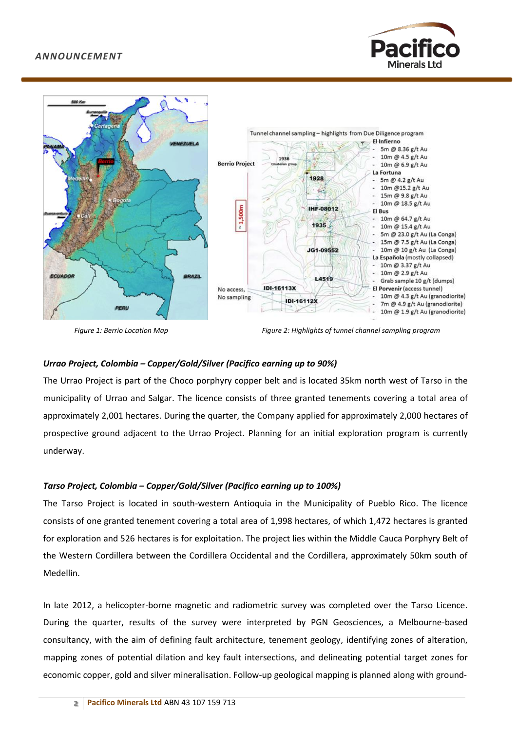



*Figure 1: Berrio Location Map Figure 2: Highlights of tunnel channel sampling program*

# *Urrao Project, Colombia – Copper/Gold/Silver (Pacifico earning up to 90%)*

The Urrao Project is part of the Choco porphyry copper belt and is located 35km north west of Tarso in the municipality of Urrao and Salgar. The licence consists of three granted tenements covering a total area of approximately 2,001 hectares. During the quarter, the Company applied for approximately 2,000 hectares of prospective ground adjacent to the Urrao Project. Planning for an initial exploration program is currently underway.

## *Tarso Project, Colombia – Copper/Gold/Silver (Pacifico earning up to 100%)*

The Tarso Project is located in south-western Antioquia in the Municipality of Pueblo Rico. The licence consists of one granted tenement covering a total area of 1,998 hectares, of which 1,472 hectares is granted for exploration and 526 hectares is for exploitation. The project lies within the Middle Cauca Porphyry Belt of the Western Cordillera between the Cordillera Occidental and the Cordillera, approximately 50km south of Medellin.

In late 2012, a helicopter-borne magnetic and radiometric survey was completed over the Tarso Licence. During the quarter, results of the survey were interpreted by PGN Geosciences, a Melbourne-based consultancy, with the aim of defining fault architecture, tenement geology, identifying zones of alteration, mapping zones of potential dilation and key fault intersections, and delineating potential target zones for economic copper, gold and silver mineralisation. Follow-up geological mapping is planned along with ground-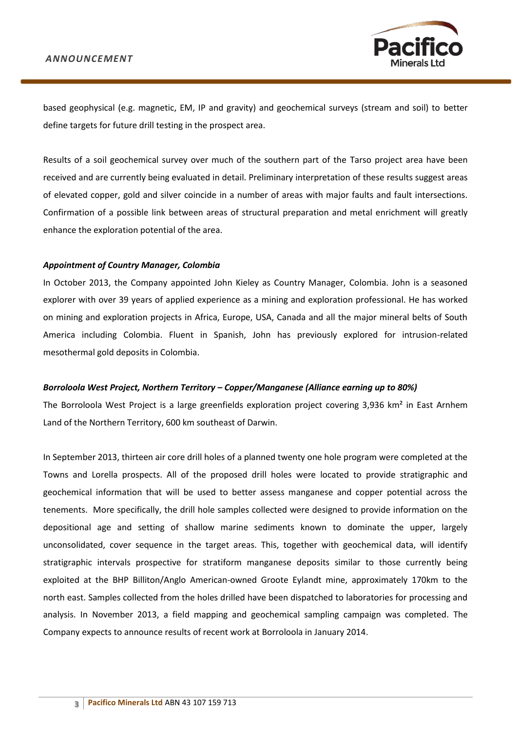

based geophysical (e.g. magnetic, EM, IP and gravity) and geochemical surveys (stream and soil) to better define targets for future drill testing in the prospect area.

Results of a soil geochemical survey over much of the southern part of the Tarso project area have been received and are currently being evaluated in detail. Preliminary interpretation of these results suggest areas of elevated copper, gold and silver coincide in a number of areas with major faults and fault intersections. Confirmation of a possible link between areas of structural preparation and metal enrichment will greatly enhance the exploration potential of the area.

#### *Appointment of Country Manager, Colombia*

In October 2013, the Company appointed John Kieley as Country Manager, Colombia. John is a seasoned explorer with over 39 years of applied experience as a mining and exploration professional. He has worked on mining and exploration projects in Africa, Europe, USA, Canada and all the major mineral belts of South America including Colombia. Fluent in Spanish, John has previously explored for intrusion-related mesothermal gold deposits in Colombia.

#### *Borroloola West Project, Northern Territory – Copper/Manganese (Alliance earning up to 80%)*

The Borroloola West Project is a large greenfields exploration project covering 3,936 km<sup>2</sup> in East Arnhem Land of the Northern Territory, 600 km southeast of Darwin.

In September 2013, thirteen air core drill holes of a planned twenty one hole program were completed at the Towns and Lorella prospects. All of the proposed drill holes were located to provide stratigraphic and geochemical information that will be used to better assess manganese and copper potential across the tenements. More specifically, the drill hole samples collected were designed to provide information on the depositional age and setting of shallow marine sediments known to dominate the upper, largely unconsolidated, cover sequence in the target areas. This, together with geochemical data, will identify stratigraphic intervals prospective for stratiform manganese deposits similar to those currently being exploited at the BHP Billiton/Anglo American-owned Groote Eylandt mine, approximately 170km to the north east. Samples collected from the holes drilled have been dispatched to laboratories for processing and analysis. In November 2013, a field mapping and geochemical sampling campaign was completed. The Company expects to announce results of recent work at Borroloola in January 2014.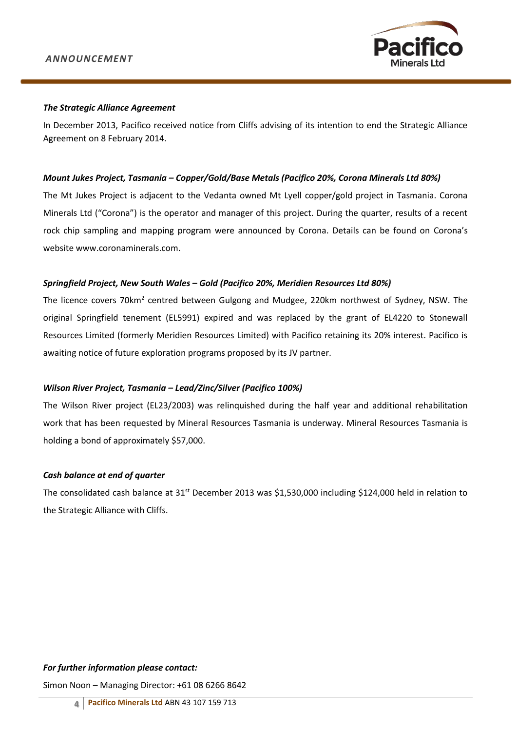

#### *The Strategic Alliance Agreement*

In December 2013, Pacifico received notice from Cliffs advising of its intention to end the Strategic Alliance Agreement on 8 February 2014.

#### *Mount Jukes Project, Tasmania – Copper/Gold/Base Metals (Pacifico 20%, Corona Minerals Ltd 80%)*

The Mt Jukes Project is adjacent to the Vedanta owned Mt Lyell copper/gold project in Tasmania. Corona Minerals Ltd ("Corona") is the operator and manager of this project. During the quarter, results of a recent rock chip sampling and mapping program were announced by Corona. Details can be found on Corona's website [www.coronaminerals.com.](http://www.coronaminerals.com/)

## *Springfield Project, New South Wales – Gold (Pacifico 20%, Meridien Resources Ltd 80%)*

The licence covers 70km<sup>2</sup> centred between Gulgong and Mudgee, 220km northwest of Sydney, NSW. The original Springfield tenement (EL5991) expired and was replaced by the grant of EL4220 to Stonewall Resources Limited (formerly Meridien Resources Limited) with Pacifico retaining its 20% interest. Pacifico is awaiting notice of future exploration programs proposed by its JV partner.

## *Wilson River Project, Tasmania – Lead/Zinc/Silver (Pacifico 100%)*

The Wilson River project (EL23/2003) was relinquished during the half year and additional rehabilitation work that has been requested by Mineral Resources Tasmania is underway. Mineral Resources Tasmania is holding a bond of approximately \$57,000.

## *Cash balance at end of quarter*

The consolidated cash balance at 31<sup>st</sup> December 2013 was \$1,530,000 including \$124,000 held in relation to the Strategic Alliance with Cliffs.

## *For further information please contact:*

Simon Noon – Managing Director: +61 08 6266 8642